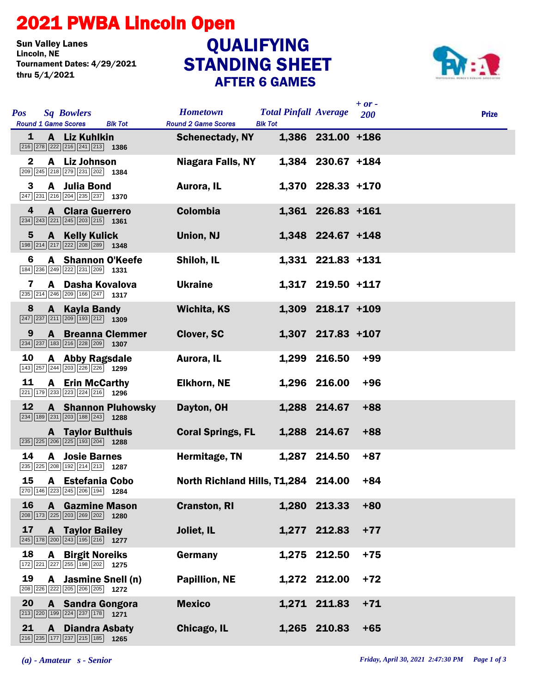## 2021 PWBA Lincoln Open

**Sun Valley Lanes<br>Lincoln, NE** Tournament Dates: 4/29/2021 thru 5/1/2021

## STANDING SHEET AFTER 6 GAMES **QUALIFYING**



| <b>Pos</b>   | <b>Sq Bowlers</b><br><b>Round 1 Game Scores</b><br><b>Blk Tot</b>                                                           | <b>Hometown</b><br><b>Round 2 Game Scores</b> | <b>Total Pinfall Average</b><br><b>Blk Tot</b> |                   | $+ or -$<br>200 | <b>Prize</b> |
|--------------|-----------------------------------------------------------------------------------------------------------------------------|-----------------------------------------------|------------------------------------------------|-------------------|-----------------|--------------|
| 1            | A Liz Kuhlkin<br>216 278 222 216 241 213 1386                                                                               | <b>Schenectady, NY</b>                        |                                                | 1,386 231.00 +186 |                 |              |
| $\mathbf{2}$ | A Liz Johnson<br>209 245 218 279 231 202 1384                                                                               | <b>Niagara Falls, NY</b>                      |                                                | 1,384 230.67 +184 |                 |              |
| 3            | A Julia Bond<br>$\boxed{247}$ $\boxed{231}$ $\boxed{216}$ $\boxed{204}$ $\boxed{235}$ $\boxed{237}$ <b>1370</b>             | Aurora, IL                                    |                                                | 1,370 228.33 +170 |                 |              |
| 4            | <b>A</b> Clara Guerrero<br>$\boxed{234}$ $\boxed{243}$ $\boxed{221}$ $\boxed{245}$ $\boxed{203}$ $\boxed{215}$ <b>1361</b>  | <b>Colombia</b>                               |                                                | 1,361 226.83 +161 |                 |              |
| 5            | <b>A</b> Kelly Kulick<br>198 214 217 222 208 289 1348                                                                       | Union, NJ                                     |                                                | 1,348 224.67 +148 |                 |              |
| 6            | <b>A</b> Shannon O'Keefe<br>184 236 249 222 231 209 1331                                                                    | Shiloh, IL                                    |                                                | 1,331 221.83 +131 |                 |              |
| 7            | A Dasha Kovalova<br>235 214 246 209 166 247 1317                                                                            | <b>Ukraine</b>                                |                                                | 1,317 219.50 +117 |                 |              |
| 8            | A Kayla Bandy<br>$\boxed{247}$ $\boxed{237}$ $\boxed{211}$ $\boxed{209}$ $\boxed{193}$ $\boxed{212}$ <b>1309</b>            | <b>Wichita, KS</b>                            |                                                | 1,309 218.17 +109 |                 |              |
| 9            | <b>A</b> Breanna Clemmer<br>$\boxed{234}$ $\boxed{237}$ $\boxed{183}$ $\boxed{216}$ $\boxed{228}$ $\boxed{209}$ <b>1307</b> | <b>Clover, SC</b>                             |                                                | 1,307 217.83 +107 |                 |              |
| 10           | A Abby Ragsdale<br>143 257 244 203 226 226 1299                                                                             | Aurora, IL                                    |                                                | 1,299 216.50      | $+99$           |              |
| 11           | <b>A</b> Erin McCarthy<br>221 179 233 223 224 216 1296                                                                      | <b>Elkhorn, NE</b>                            |                                                | 1,296 216.00      | $+96$           |              |
| 12           | <b>A</b> Shannon Pluhowsky<br>$\boxed{234}$ 189 $\boxed{231}$ $\boxed{203}$ 188 $\boxed{243}$ 1288                          | Dayton, OH                                    |                                                | 1,288 214.67      | $+88$           |              |
|              | <b>A</b> Taylor Bulthuis<br>$\boxed{235}\boxed{225}\boxed{206}\boxed{225}\boxed{193}\boxed{204}$ 1288                       | <b>Coral Springs, FL</b>                      |                                                | 1,288 214.67      | $+88$           |              |
| 14           | <b>A</b> Josie Barnes<br>235 225 208 192 214 213 1287                                                                       | Hermitage, TN                                 |                                                | 1,287 214.50      | $+87$           |              |
| 15           | A Estefania Cobo<br>270 146 223 245 206 194 1284                                                                            | North Richland Hills, T1,284 214.00           |                                                |                   | $+84$           |              |
| <b>16</b>    | <b>A</b> Gazmine Mason<br>208 173 225 203 269 202 1280                                                                      | <b>Cranston, RI</b>                           |                                                | 1,280 213.33      | $+80$           |              |
| 17           | <b>A</b> Taylor Bailey<br>$\boxed{245}$ 178 200 243 195 216 1277                                                            | Joliet, IL                                    |                                                | 1,277 212.83      | $+77$           |              |
| 18           | <b>A</b> Birgit Noreiks<br>$\boxed{172}\boxed{221}\boxed{227}\boxed{255}\boxed{198}\boxed{202}$ 1275                        | Germany                                       |                                                | 1,275 212.50      | $+75$           |              |
| 19           | A Jasmine Snell (n)<br>208 226 222 205 206 205 1272                                                                         | <b>Papillion, NE</b>                          |                                                | 1,272 212.00      | $+72$           |              |
| 20           | A Sandra Gongora<br>$\boxed{213}$ $\boxed{220}$ 199 224 237 178 1271                                                        | <b>Mexico</b>                                 |                                                | 1,271 211.83      | $+71$           |              |
| 21           | <b>A</b> Diandra Asbaty<br>$\boxed{216}$ $\boxed{235}$ $\boxed{177}$ $\boxed{237}$ $\boxed{215}$ $\boxed{185}$ <b>1265</b>  | Chicago, IL                                   |                                                | 1,265 210.83      | $+65$           |              |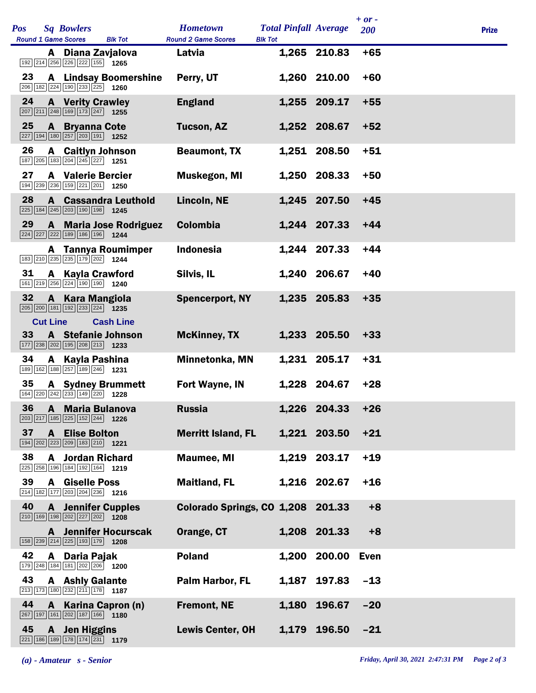| <b>Sq Bowlers</b><br><b>Pos</b><br><b>Round 1 Game Scores</b>                                                                      | <b>Blk Tot</b>               | <b>Hometown</b><br><b>Round 2 Game Scores</b> | <b>Total Pinfall Average</b><br><b>Blk Tot</b> |                  | $+ or -$<br>200 | <b>Prize</b> |
|------------------------------------------------------------------------------------------------------------------------------------|------------------------------|-----------------------------------------------|------------------------------------------------|------------------|-----------------|--------------|
| A Diana Zavjalova<br>192 214 256 226 222 155 1265                                                                                  |                              | Latvia                                        |                                                | 1,265 210.83     | $+65$           |              |
| 23<br>206 182 224 190 233 225 1260                                                                                                 | <b>A</b> Lindsay Boomershine | Perry, UT                                     |                                                | 1,260 210.00     | $+60$           |              |
| 24<br><b>A</b> Verity Crawley<br>$\boxed{207}$ $\boxed{211}$ $\boxed{248}$ $\boxed{169}$ $\boxed{173}$ $\boxed{247}$ <b>1255</b>   |                              | <b>England</b>                                |                                                | 1,255 209.17     | $+55$           |              |
| 25<br><b>A</b> Bryanna Cote<br>227 194 180 257 203 191 1252                                                                        |                              | <b>Tucson, AZ</b>                             |                                                | 1,252 208.67     | $+52$           |              |
| 26<br><b>A</b> Caitlyn Johnson<br>187 205 183 204 245 227 1251                                                                     |                              | <b>Beaumont, TX</b>                           |                                                | 1,251 208.50     | $+51$           |              |
| 27<br><b>A</b> Valerie Bercier<br>194 239 236 159 221 201 1250                                                                     |                              | Muskegon, MI                                  |                                                | 1,250 208.33     | $+50$           |              |
| 28<br>225 184 245 203 190 198 1245                                                                                                 | <b>A</b> Cassandra Leuthold  | Lincoln, NE                                   |                                                | 1,245 207.50     | $+45$           |              |
| 29<br>224 227 222 189 186 196 1244                                                                                                 | A Maria Jose Rodriguez       | <b>Colombia</b>                               |                                                | 1,244 207.33     | $+44$           |              |
| 183 210 235 235 179 202 1244                                                                                                       | A Tannya Roumimper           | <b>Indonesia</b>                              |                                                | 1,244 207.33     | $+44$           |              |
| 31<br><b>A</b> Kayla Crawford<br>161 219 256 224 190 190 1240                                                                      |                              | Silvis, IL                                    |                                                | 1,240 206.67     | $+40$           |              |
| 32<br>A Kara Mangiola<br>$\boxed{205}$ $\boxed{200}$ $\boxed{181}$ $\boxed{192}$ $\boxed{233}$ $\boxed{224}$ <b>1235</b>           |                              | <b>Spencerport, NY</b>                        |                                                | 1,235 205.83     | $+35$           |              |
| <b>Cut Line</b>                                                                                                                    | <b>Cash Line</b>             |                                               |                                                |                  |                 |              |
| 33<br><b>A</b> Stefanie Johnson<br>$\boxed{177}$ $\boxed{238}$ $\boxed{202}$ $\boxed{195}$ $\boxed{208}$ $\boxed{213}$ <b>1233</b> |                              | <b>McKinney, TX</b>                           |                                                | 1,233 205.50     | $+33$           |              |
| 34<br>A Kayla Pashina<br>$\boxed{189}$ $\boxed{162}$ $\boxed{188}$ $\boxed{257}$ $\boxed{189}$ $\boxed{246}$ 1231                  |                              | Minnetonka, MN                                |                                                | 1,231 205.17     | $+31$           |              |
| 35<br><b>A</b> Sydney Brummett<br>$\boxed{164}\boxed{220}\boxed{242}\boxed{233}\boxed{149}\boxed{220}$ 1228                        |                              | Fort Wayne, IN                                |                                                | 1,228 204.67     | $+28$           |              |
| 36 A Maria Bulanova<br>203 217 185 225 152 244 1226                                                                                |                              | <b>Russia</b>                                 |                                                | 1,226 204.33 +26 |                 |              |
| 37<br><b>A</b> Elise Bolton<br>194 202 223 209 183 210 1221                                                                        |                              | <b>Merritt Island, FL</b>                     |                                                | 1,221 203.50     | $+21$           |              |
| 38<br><b>A</b> Jordan Richard<br>225 258 196 184 192 164 1219                                                                      |                              | <b>Maumee, MI</b>                             |                                                | 1,219 203.17     | $+19$           |              |
| 39<br><b>A</b> Giselle Poss<br>214 182 177 203 204 236 1216                                                                        |                              | <b>Maitland, FL</b>                           |                                                | 1,216 202.67     | $+16$           |              |
| 40<br><b>A</b> Jennifer Cupples<br>$\boxed{210}$ 169 198 202 227 202 1208                                                          |                              | Colorado Springs, CO 1,208 201.33             |                                                |                  | $+8$            |              |
| $\boxed{158}$ $\boxed{239}$ $\boxed{214}$ $\boxed{225}$ $\boxed{193}$ $\boxed{179}$ <b>1208</b>                                    | <b>A</b> Jennifer Hocurscak  | Orange, CT                                    |                                                | 1,208 201.33     | $+8$            |              |
| 42<br>A Daria Pajak<br>179 248 184 181 202 206 1200                                                                                |                              | <b>Poland</b>                                 | 1,200                                          | 200.00           | <b>Even</b>     |              |
| 43<br><b>A</b> Ashly Galante<br>213 173 180 232 211 178 1187                                                                       |                              | Palm Harbor, FL                               | 1,187                                          | 197.83           | $-13$           |              |
| 44<br>A Karina Capron (n)<br>267 197 161 202 187 166 1180                                                                          |                              | <b>Fremont, NE</b>                            | 1,180                                          | 196.67           | $-20$           |              |
| 45<br>A Jen Higgins<br>221   186   189   178   174   231                                                                           | 1179                         | <b>Lewis Center, OH</b>                       |                                                | 1,179 196.50     | $-21$           |              |